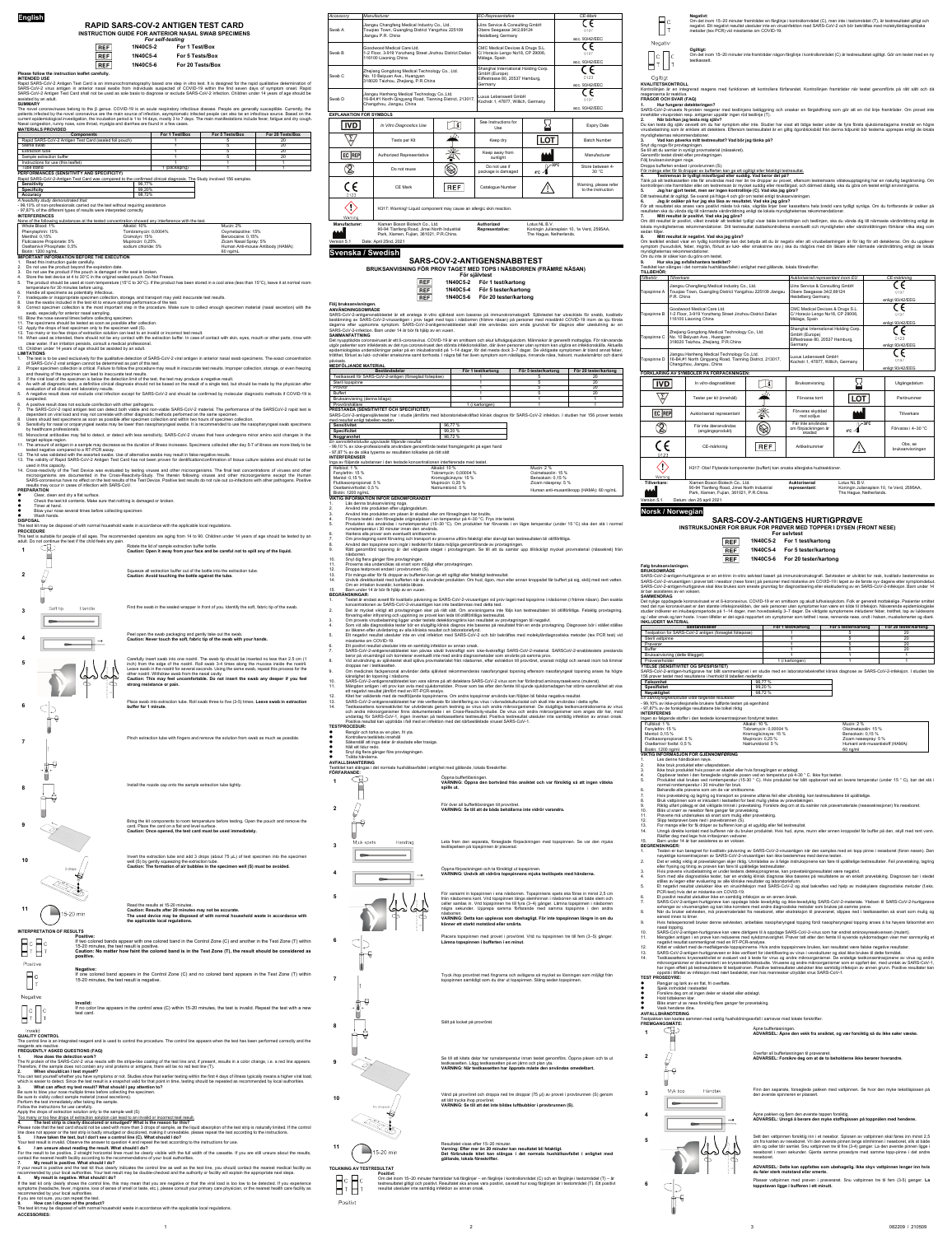**English**

# **RAPID SARS-COV-2 ANTIGEN TEST CARD**

### **INSTRUCTION GUIDE FOR ANTERIOR NASAL SWAB SPECIMENS** *For self-testing*



**REF** 

## **1N40C5-6 For 20 Tests/Box**

### **Please follow the instruction leaflet carefully. INTENDED USE**

Rapid SARS-CoV-2 Antigen Test Card is an immunochromatography based one step in vitro test. It is designed for the rapid qualitative determination of<br>SARS-CoV-2 virus antigen in anterior nasal swabs from individuals suspec assisted by an adult. **SUMMARY**

The novel coronaviruses belong to the β genus. COVID-19 is an acute respiratory infectious disease. People are generally susceptible. Currently, the patients infected by the novel coronavirus are the main source of infection, asymptomatic infected people can also be an infectious source. Based on the<br>current epidemiological investigation, the incubation period is 1 to

| <b>Components</b>                                                                                                                     |                      | For 1 Test/Box | For 5 Tests/Box    | For 20 Tests/Box |
|---------------------------------------------------------------------------------------------------------------------------------------|----------------------|----------------|--------------------|------------------|
| Rapid SARS-CoV-2 Antigen Test Card (sealed foil pouch)                                                                                |                      |                | 5                  | 20               |
| Sterile swab                                                                                                                          |                      |                | 5                  | 20               |
| <b>Extraction tube</b>                                                                                                                |                      |                | 5                  | 20               |
| Sample extraction buffer                                                                                                              |                      |                | 5                  | 20               |
| Instructions for use (this leaflet)                                                                                                   |                      |                |                    |                  |
| Tube stand                                                                                                                            |                      | 1 (packaging)  |                    |                  |
| <b>Sensitivity</b><br><b>Specificity</b>                                                                                              | 96.77%<br>99.20%     |                |                    |                  |
| Accuracy<br>A feasibility study demonstrated that:<br>- 99,10% of non-professionals carried out the test without requiring assistance | 98.72%               |                |                    |                  |
| - 97,87% of the different types of results were interpreted correctly                                                                 |                      |                |                    |                  |
| <b>INTERFERENCES</b>                                                                                                                  |                      |                |                    |                  |
| None of the following substances at the tested concentration showed any interference with the test.                                   |                      |                |                    |                  |
| Whole Blood: 1%                                                                                                                       | Alkalol: 10%         |                | Mucin: 2%          |                  |
| Phenylephrin: 15%                                                                                                                     | Tombramycin: 0,0004% |                | Oxymetazoline: 15% |                  |
| Menthol: 0,15%                                                                                                                        | Cromolyn: 15%        |                | Benzocaine: 0.15%  |                  |

14. When used as intended, there should not be any contact with the extraction buffer. In case of contact with skin, eyes, mouth or other parts, rinse with<br>clear water. If an irritation persists, consult a medical professi 15. Children under 14 years of age should be assisted by an adult.

- 1. The test is to be used exclusively for the qualitative detection of SARS-CoV-2 viral antigen in anterior nasal swab specimens. The exact concentration of SARS-CoV-2 viral antigen cannot be determined as part of this test. 2. Proper specimen collection is critical. Failure to follow the procedure may result in inaccurate test results. Improper collection, storage, or even freezing
- and thawing of the specimen can lead to inaccurate test results.<br>3. If the viral load of the specimen is below the detection limit of the test, the test may produce a negative result.<br>4. As with all diagnostic tests, a d
- evaluation of all clinical and laboratory results. 5. A negative result does not exclude viral infection except for SARS-CoV-2 and should be confirmed by molecular diagnostic methods if COVID-19 is
- suspected.
- 
- 6. A positive result does not exclude coinfection with other pathogens.<br>7. The SARS-CoV-2 rapid antigen test can detect both viable and non-viable SARS-CoV-2 material. The performance of the SARSCoV-2 rapid test is<br>depende
- Users should test specimens as soon as possible after specimen collection and within two hours of specimen collection Sensitivity for nasal or oroparyngeal swabs may be lower than nasopharyngeal swabs. It is recommended to use the nasopharyngeal swab specimens
- by healthcare professionals. 10. Monoclonal antibodies may fail to detect, or detect with less sensitivity, SARS-CoV-2 viruses that have undergone minor amino acid changes in the
- target epitope region. 11. The amount of antigen in a sample may decrease as the duration of illness increases. Specimens collected after day 5-7 of illness are more likely to be
- tested negative compared to a RT-PCR assay. 12. The kit was validated with the assorted swabs. Use of alternative swabs may result in false negative results.
- 13. The validity of Rapid SARS-CoV-2 Antigen Test Card has not been proven for dentification/confirmation of tissue culture isolates and should not be
- used in this capacity.<br>The final test concentrations of viruses and other steps and other microorganisms. The final test concentrations of viruses and other<br>microorganisms are documented in the Cross-Reactivity-Study. The

| <b>IMPORTANT INFORMATION REFORE THE EXECUTION</b> |                             |                                   |
|---------------------------------------------------|-----------------------------|-----------------------------------|
| Biotin: 1200 ng/mL                                |                             | 60 ng/mL                          |
| Oseltamivir Phosphate: 0.5%                       | sodium chloride: 5%         | Human Anti-mouse Antibody (HAMA): |
| Fluticasone Propionate: 5%                        | Mupirocin: 0.25%            | Zicam Nasal Spray: 5%             |
| Menthol: 0.15%                                    | Cromolyn: 15%               | Benzocaine: 0.15%                 |
| FIGHVIGUIHIL IJ/0                                 | TUITIDI dITIYUITI. U,UUU470 | <b>UAVILICIALUILIC.</b> 1970      |

## **IMPORTANT INFORMATION BEFORE THE EXECUTION** 1. Read this instruction guide carefully.

2. Do not use the product beyond the expiration date.

Do not use the product if the pouch is damaged or the seal is broken.

- 
- 4. Store the test device at 4 to 30°C in the original sealed pouch. Do Not Freeze.<br>5. The product should be used at room temperature (15°C to 30°C). If the product has been stored in a cool area (less than 15°C), lea
- 

temperature for 30 minutes before using.<br>6. Handle all specimens as potentially infectious.<br>7. Inadequate or inappropriate specimen collection, storage, and transport may yield inaccurate test results.<br>8. Use the

- Correct specimen collection is the most important step in the procedure. Make sure to collect enough specimen material (nasal secretion) with the
- 

swab, especially for anterior nasal sampling.<br>10. Blow the nose several times before collecting specimen.<br>11. The specimens should be tested as soon as possible after collection.<br>12. Apply the drops of test specimen only t

12. Apply the drops of test specifien only to the specifien well (O).<br>13. Too many or too few drops of extraction solution can lead to an invalid or incorrect test result.

adult. Do not continue the test if the child feels any pain. **1** Caution: **Rotate the lid of sample extraction buffer bottle.**<br>**Caution: Open it away from your face and be careful not to spill any of the liquid.** 

**2**  $\bigcap$  and the struction buffer out of the bottle into the extraction tube.<br>**Caution: Avoid touching the bottle against the tube.** Å ₿ **3** Soft tip Handle Find the swab in the sealed wrapper in front of you. Identify the soft, fabric tip of the swab.

5<br>
The second in the matrix was find one nostril. Roll swab 3-4 times along the mucosa inside the nostril.<br>
Inch) from the edge of the nostril. Roll swab 3-4 times along the mucosa inside the nostril.<br>
Leave swab in the no  $40.4$ 

Peel open the swab packaging and gently take out the swab. **Caution: Never touch the soft, fabric tip of the swab with your hands.**

**LIMITATIONS**

**PREPARATION**

- Clear, clean and dry a flat surface. Check the test kit contents. Make sure that nothing is damaged or broken.
- Timer at hand.
- Blow your nose several times before collecting specimen.
- **O** Wash hands.<br>DISPOSAL
- 
- **DISPOSAL** The test kit may be disposed of with normal household waste in accordance with the applicable local regulations. **PROCEDURE**

# This test is suitable for people of all ages. The recommended operators are aging from 14 to 90. Children under 14 years of age should be tested by an

### **Följ bruksanvisnin ANVÄNDNINGSOMRÅDE**

SARS-CoV-2-antigensnabbtestet är ett enstegs in vitro självtest som baseras på immunokromatografi. Självtestet har utvecklats för snabb, kvalitativ bestämning av SARS-CoV-2-virusantigen i prov taget med tops i näsborren (främre näsan) på personer med misstänkt COVID-19 inom de sju första<br>dagarna efter uppkomna symptom. SARS-CoV-2-antigensnabbtestet skall inte användas

Det nyupptäckta coronaviruset är ett ß-coronavirus. COVID-19 är en smittsam och akut luftvägssjukdom. Människor är generellt mottagliga. För närvarande utgör patienter som infekterats av det nya coronaviruset den största infektionskällan, där även personer utan symtom kan utgöra en infektionskälla. Aktuella<br>epidemiologiska undersökningar pekar på en inkubationstid på 1–1

**strong resistance or pain.**

- 1. Läs denna bruksanvisning noga. 2. Använd inte produkten efter utgångsdatum.
- 
- 3. Använd inte produkten om påsen är skadad eller om förseglingen har brutits.<br>4. Förvara testet i den förseglade originalpåsen i en temperatur på 4–30 °C. Frys inte testet.<br>5. Produkten ska användas i rumstemperatur (15–3
- 

Hantera alla prover som eventuellt smittsamma

- 
- 
- 12. Droppa testprovet endast i provbrunnen (S).<br>13. För många eller för få droppar av bufferten k<br>14. Undvik direktkontakt med bufferten när du a
- 13. För många eller för få droppar av bufferten kan ge ett ogiltigt eller felaktigt testresultat.<br>14. Undvik direktkontakt med bufferten när du använder produkten. Om hud, ögon, mun eller annan kroppsdel får buffert Om en irritation kvarstår, kontakta läkare.
- 
- 15. Barn under 14 år bör få hjälp av en vuxen. **BEGRÄNSNINGAR:**
- 1. Testet är endast avsett för kvalitativ påvisning av SARS-CoV-2-virusantigen vid prov taget med topspinne i näsborren (i främre näsan). Den exakta koncentrationen av SARS-CoV-2-virusantigen kan inte bestämmas med detta test.<br>2. Det är mycket viktigt att provtagningen sker på rätt sätt. Om anvisningarna inte följs kan testresultaten bli otillförlitliga. Felaktig provt
- 
- av läkaren efter utvärdering av alla kliniska resultat och laboratoriefynd.
- 5. Ett negativt resultat utesluter inte en viral infektion med SARS-CoV-2 och bör bekräftas med molekylärdiagnostiska metoder (tex PCR test) vid
- misstanke om COVID-19.<br>6. Ett positivt resultat utersluter inte en samtidig infektion av annan orsak.<br>7. SARS-CoV-2-antigensnabbtestet kan påvisa såväl livskraftigt som icke-livskraftigt SARS-CoV-2-material. SARS
- droppas ner i testkasetten.<br>Om medicinsk facknersons
- nsk fackpersonal använder detta självtest rekommenderas nasofaryngeal topsning eftersom nasofaryngeal topsning anses ha högre
- känslighet än topsning i näsborre.<br>10. SARS-CoV-2-antigensnabbtestet kan vara sämre på att detektera SARS-CoV-2 virus som har förändrad aminosyrasekvens (muterat).<br>11. Mängden antigen i ett prov kan avta med sjukdomstiden.
- 12. Kitet har validerats med de medföljande topspinnarna. Om andra topspinnar används kan följden bli falska negativa resultat.

 $\mathsf{H}^{\mathsf{c}}$ **Negativt:**<br>Om det inom 15–20 minuter framträder en färglinje i kontrollområdet (C), men inte i testområdet (T), är testresultatet giltigt och<br>negativt. Ett negativt resultat utesluter inte en virusinfektion med SARS-CoV-2

**Ogiltigt:**<br>Om det inom 15–20 minuter inte framträder någon färglinje i kontrollområdet (C) är testresultatet ogiltigt. Gör om testet med en ny<br>testkassett.  $\neg$ c $\Box$ c

**1. Hur fungerar detekteringen?**<br>SARS-CoV-2-virusets N-protein reagerar med testlinjens beläggning och orsakar en färgskiftning som gör att en röd linje framträder. Om provet inte<br>innehåller virusprotein resp. antigener up **2. När bör/kan jag testa mig själv?** Du kan testa dig själv oavsett om du har symptom eller inte. Studier har visat att tidiga tester under de fyra första sjukdomsdagarna innebär en högre virusbelastning som är enklare att detektera. Eftersom testresultatet är en giltig ögonblicksbild från denna tidpunkt bör testerna upprepas enligt de lokala

Tänk på att testkassetten inte får användas med mer än tre droppar av provet, eftersom testremsans vätskeupptagning har en naturlig begränsning. Om<br>kontrollinjen inte framträder eller om testremsan är mycket suddig eller m 5. Ja**g har gjort testet, men ser ingen kontrollinje (C). Vad ska jag göra?**<br>Ditt testresultat är ogiltigt. Se svaret på fråga 4 och gör om testet enligt bruksanvisningen.<br>6. Jag är osäker på hur jag ska läsa av resultatet

| Accessorv | Manufacturer                                                                                                                          | EC-Representative                                                                                   | CE-Mark                |
|-----------|---------------------------------------------------------------------------------------------------------------------------------------|-----------------------------------------------------------------------------------------------------|------------------------|
| Swab A    | Jiangsu Changfeng Medical Industry Co., Ltd.<br>Tougiao Town, Guangling District Yangzhou 225109<br>Jiangsu P.R. China                | Llins Service & Consulting GmbH<br>Obere Seegasse 34/2,69124<br><b>Heidelberg Germany</b>           | 0197<br>acc. 93/42/EEC |
| Swab B    | Goodwood Medical Care Ltd.<br>1-2 Floor, 3-919 Yonzheng Street Jinzhou District Dalian<br>116100 Liaoning China                       | CMC Medical Devices & Drugs S.L.<br>C/ Horacio Lengo No18, CP 29006,<br>Màlaga, Spain               | 0197<br>acc. 93/42/EEC |
| Swab C    | Zhejiang Gongdong Medical Technology Co., Ltd.<br>No. 10 Beiyuan Ave., Huangyan<br>318020 Taizhou, Zhejiang, P.R.China                | Shanghai International Holding Corp.<br>GmbH (Europe)<br>Eiffestrasse 80, 20537 Hamburg,<br>Germany | 0123<br>acc. 93/42/EEC |
| Swab D    | Jiangsu Hanheng Medical Technology Co., Ltd.<br>16-B4,#1 North Qingyang Road, Tianning District, 213017,<br>Changzhou, Jiangsu, China | Luxus Lebenswelt GmbH<br>Kochstr.1, 47877, Willich, Germany                                         | 0197<br>acc. 93/42/EEC |

resultaten ska du vända dig till närmaste vårdinrättning enligt de lokala myndigheternas rekommendationer.<br>7. Mitt resultat är positivt. Vad ska jag göra?<br>Om ditt resultat är positivt, vilket innebär att testkitet lokala myndigheternas rekommendationer. Ditt testresultat dubbelkontrolleras eventuellt och myndigheten eller vårdinrättningen förklarar vilka steg som sedan följer.

Om testkitet endast visar en tydlig kontrollinje kan det betyda att du är negativ eller att virusbelastningen är för låg för att detekteras. Om du upplever<br>symptom (huvudvärk, feber, migrän, förlust av lukt- eller smaksinn

**Tillverkare** *Auktoriserad representant inom EU <b>CE-märkning<br>Jiangsu Changfeng Medical Industry Co., Ltd. Lins Service & Consulting GmbH* 

CMC Medical Devices & Drugs S.L. C/ Horacio Lengo No18, CP 29006<br>⁄làlaga, Spain

iangsu Hanheng Medical Technology Co.,Ltd. 16-B4,#1 North Qingyang Road, Tianning District, 213017, Changzhou, Jiangsu, China

Luxus Lebenswelt GmbH was Essenbirch Smillich, Germany<br>pchstr.1, 47877, Willich, Germany

- **Manufacturer:** Xiamen Boson Biotech Co., Ltd. 90-94 Tianfeng Road, Jimei North Industrial Park, Xiamen, Fujian, 361021, P.R.China.
	-

Date: April 25nd, 2021

**Authorized Representative:**

Lotus NL B.V. Koningin Julianaplein 10, 1e Verd, 2595AA, The Hague, Netherlands.

 $\overline{\phantom{a}}$ 

 $\checkmark$ Warning

# **Svenska / Swedish**

**SARS-COV-2-ANTIGENSNABBTEST BRUKSANVISNING FÖR PROV TAGET MED TOPS I NÄSBORREN (FRÄMRE NÄSAN)**

- **För självtest 1N40C5-2 För 1 test/kartong REF**
- **REF 1N40C5-4 För 5 tester/kartong REF 1N40C5-6 För 20 tester/kartong**

Det nylige oppdagede koronaviruset er et ß-koronavirus. COVID-19 er en smittsom og akutt luftveissykdom. Folk er generelt mottakelige. Pasienter smittet<br>med det nye koronaviruset er den største infeksjonskilden, der selv og / eller smak og tørr hoste. I noen tilfeller er det også rapportert om symptomer som tetthet i nese, rennende nese, ondt i halsen, muskelsmerter og diaré.

**SAMMANFATTNING**

| MEDFÖLJANDE MATERIAL |  |
|----------------------|--|
| Beståndsdelar        |  |

| Beståndsdelar                                            | För 1 test/kartong | För 5 tester/kartong | För 20 tester/kartong |  |  |  |
|----------------------------------------------------------|--------------------|----------------------|-----------------------|--|--|--|
| Testkassett för SARS-CoV-2-antigen (förseglad foliepåse) |                    |                      | 20                    |  |  |  |
| Steril topspinne                                         |                    |                      | 20                    |  |  |  |
| Provrör                                                  |                    |                      | 20                    |  |  |  |
| <b>Buffert</b>                                           |                    |                      | 20                    |  |  |  |
| Bruksanvisning (denna bilaga)                            |                    |                      |                       |  |  |  |
| Provrörshållare                                          | (i kartongen)      |                      |                       |  |  |  |
| <b>PRESTANDA (SENSITIVITET OCH SPECIFICITET)</b>         |                    |                      |                       |  |  |  |

laboratoriebekräftad klinisk diagnos för SARS-CoV-2 infektion. I studien har 156 prover testats

| med resultat enligt tabellen nedan.               |        |  |
|---------------------------------------------------|--------|--|
| <b>Sensitivitet</b>                               | 96.77% |  |
| <b>Specificitet</b>                               | 99.20% |  |
| Noggrannhet                                       | 98.72% |  |
| En sannolikhetstudie uppvisade följande resultat: |        |  |

*En sannolikhetstudie uppvisade följande resultat:*<br>- 99,10 % av icke-professionella användare genomförde testet framgångsrikt på egen hand<br>- 97,87 % av de olika typerna av resultaten tolkades på rätt sätt

| <b>INTERFERENSER</b>                           |                                                                                     |                                          |
|------------------------------------------------|-------------------------------------------------------------------------------------|------------------------------------------|
|                                                | Inga av följande substanser i den testade koncentrationen interfererade med testet. |                                          |
| Helblod: 1 %                                   | Alkalol: 10 %                                                                       | Mucin: $2%$                              |
| Fenvlefrin: 15 %                               | Tobramycin: 0,00004 %                                                               | Oximetazolin: 15 %                       |
| Mentol: 0.15 %                                 | Kromoglicinsyra: 15 %                                                               | Bensokain: 0.15 %                        |
| Flutikasonpropionat: 5 %                       | Mupirocin: 0.25 %                                                                   | Zicam nässpray: 5 %                      |
| Oseltamivirfosfat: 0.5 %<br>Biotin: 1200 na/mL | Natriumklorid: 5 %                                                                  | Human anti-musantikropp (HAMA): 60 ng/mL |

**VIKTIG INFORMATION INFÖR GENOMFÖRANDET**

7. Om provtagning samt förvaring och transport av proverna utförs felaktigt eller slarvigt kan testresultaten bli otillförlitliga.

8. Använd den topspinne som ingår i testkitet för bästa möjliga genomförande av provtagningen.<br>9. Rätt genomförd topsning är det viktigaste steget i provtagningen. Se till att du samlar upp tillräckligt mycket provma

näsborren. 10. Snyt dig flera gånger före provtagningen. 11. Proverna ska undersökas så snart som möjligt efter provtagningen.

 $4^{\circ}$ c  $\mathcal{A}$ **30°C**

|                                                                                 | Place swab into extraction tube. Roll swab three to five (3-5) times. Leave swab in extraction<br>buffer for 1 minute.                                                                                                                                                                                                    | 13.<br>14.                |                                                                          | SARS-CoV-2-antigensnabbtestet har inte verifierats för identifiering av virus i vävnadskulturisolat och skall inte användas i detta syfte.<br>Testkassettens korsreaktivitet har utvärderats genom testning av virus och andra mikroorganismer. De slutgiltiga testkoncentrationerna av virus<br>och andra mikroorganismer finns dokumenterade i en Cross-Reactivity-studie. De virus och andra mikroorganismer som anges där har, med<br>undantag för SARS-CoV-1, ingen inverkan på testkassettens testresultat. Positiva testresultat utesluter inte samtidig infektion av annan orsak. | - 99,10% av ikke-profesjonelle brukere fullførte testen på egenhånd<br>- 97,87% av de forskjellige resultatene ble tolket riktig<br><b>INTERFERENS</b><br>Ingen av følgende stoffer i den testede konsentrasjonen forstyrret testen |                                                                                                                         |                                                                                                                                                                                                                                                                            |
|---------------------------------------------------------------------------------|---------------------------------------------------------------------------------------------------------------------------------------------------------------------------------------------------------------------------------------------------------------------------------------------------------------------------|---------------------------|--------------------------------------------------------------------------|-------------------------------------------------------------------------------------------------------------------------------------------------------------------------------------------------------------------------------------------------------------------------------------------------------------------------------------------------------------------------------------------------------------------------------------------------------------------------------------------------------------------------------------------------------------------------------------------|-------------------------------------------------------------------------------------------------------------------------------------------------------------------------------------------------------------------------------------|-------------------------------------------------------------------------------------------------------------------------|----------------------------------------------------------------------------------------------------------------------------------------------------------------------------------------------------------------------------------------------------------------------------|
|                                                                                 |                                                                                                                                                                                                                                                                                                                           |                           |                                                                          | Positiva resultat kan uppträda i fall med en infektion med det närbesläktade viruset SARS-CoV-1.                                                                                                                                                                                                                                                                                                                                                                                                                                                                                          | Fullblod: 1 %                                                                                                                                                                                                                       | Alkalol: 10 %                                                                                                           | Mucin: 2 %                                                                                                                                                                                                                                                                 |
|                                                                                 |                                                                                                                                                                                                                                                                                                                           | <b>TESTPROCEDUR:</b>      |                                                                          |                                                                                                                                                                                                                                                                                                                                                                                                                                                                                                                                                                                           | Fenylefrin: 15 %                                                                                                                                                                                                                    | Tobramycin: 0,00004 %                                                                                                   | Oksimetazolin: 15 %                                                                                                                                                                                                                                                        |
|                                                                                 |                                                                                                                                                                                                                                                                                                                           | $\bullet$                 | Rengör och torka av en plan, fri yta.<br>Kontrollera testkitets innehåll |                                                                                                                                                                                                                                                                                                                                                                                                                                                                                                                                                                                           | Mentol: 0,15 %                                                                                                                                                                                                                      | Kromoglicinsyre: 15 %                                                                                                   | Bensokain: 0,15 %                                                                                                                                                                                                                                                          |
|                                                                                 | Pinch extraction tube with fingers and remove the solution from swab as much as possible.                                                                                                                                                                                                                                 |                           | Säkerställ att inga delar är skadade eller trasiga.                      |                                                                                                                                                                                                                                                                                                                                                                                                                                                                                                                                                                                           | Flutikasonpropionat: 5 %                                                                                                                                                                                                            | Mupirocin: 0,25 %                                                                                                       | Zicam nesespray: 5 %                                                                                                                                                                                                                                                       |
|                                                                                 |                                                                                                                                                                                                                                                                                                                           | Håll ett tidur redo.      |                                                                          |                                                                                                                                                                                                                                                                                                                                                                                                                                                                                                                                                                                           | Oseltamivir fosfat: 0,5 %                                                                                                                                                                                                           | Natriumklorid: 5 %                                                                                                      | Humant anti-musantistoff (HAMA):                                                                                                                                                                                                                                           |
|                                                                                 |                                                                                                                                                                                                                                                                                                                           |                           | Snyt dig flera gånger före provtagningen.                                |                                                                                                                                                                                                                                                                                                                                                                                                                                                                                                                                                                                           | Biotin: 1200 ng/ml                                                                                                                                                                                                                  |                                                                                                                         | 60 ng/ml                                                                                                                                                                                                                                                                   |
|                                                                                 |                                                                                                                                                                                                                                                                                                                           | Tvätta händerna.          |                                                                          |                                                                                                                                                                                                                                                                                                                                                                                                                                                                                                                                                                                           | VIKTIG INFORMASJON FOR GJENNOMFØRING                                                                                                                                                                                                |                                                                                                                         |                                                                                                                                                                                                                                                                            |
|                                                                                 |                                                                                                                                                                                                                                                                                                                           | <b>AVFALLSHANTERING</b>   |                                                                          |                                                                                                                                                                                                                                                                                                                                                                                                                                                                                                                                                                                           | Les denne håndboken nøye.<br>Ikke bruk produktet etter utløpsdatoen.                                                                                                                                                                |                                                                                                                         |                                                                                                                                                                                                                                                                            |
|                                                                                 |                                                                                                                                                                                                                                                                                                                           |                           |                                                                          | Testkitet kan slängas i det normala hushållsavfallet i enlighet med gällande, lokala föreskrifter                                                                                                                                                                                                                                                                                                                                                                                                                                                                                         |                                                                                                                                                                                                                                     | Ikke bruk produktet hvis posen er skadet eller hvis forseglingen er ødelagt.                                            |                                                                                                                                                                                                                                                                            |
|                                                                                 |                                                                                                                                                                                                                                                                                                                           | FÖRFARANDE:               |                                                                          |                                                                                                                                                                                                                                                                                                                                                                                                                                                                                                                                                                                           |                                                                                                                                                                                                                                     | Oppbevar testen i den forseglede originale posen ved en temperatur på 4-30 °C. Ikke frys testen.                        |                                                                                                                                                                                                                                                                            |
|                                                                                 |                                                                                                                                                                                                                                                                                                                           |                           |                                                                          | Öppna buffertlösningen                                                                                                                                                                                                                                                                                                                                                                                                                                                                                                                                                                    |                                                                                                                                                                                                                                     |                                                                                                                         | Produktet skal brukes ved romtemperatur (15-30 ° C). Hvis produktet har blitt oppbevart ved en lavere temperatur (under 15 ° C), bør det stå i                                                                                                                             |
|                                                                                 | Install the nozzle cap onto the sample extraction tube tightly.                                                                                                                                                                                                                                                           |                           |                                                                          | VARNING: Öppna den bortvänd från ansiktet och var försiktig så att ingen vätska                                                                                                                                                                                                                                                                                                                                                                                                                                                                                                           | normal romtemperatur i 30 minutter før bruk.                                                                                                                                                                                        |                                                                                                                         |                                                                                                                                                                                                                                                                            |
|                                                                                 |                                                                                                                                                                                                                                                                                                                           |                           |                                                                          | spills ut.                                                                                                                                                                                                                                                                                                                                                                                                                                                                                                                                                                                | Behandle alle prøvene som om de var smittsomme.                                                                                                                                                                                     |                                                                                                                         |                                                                                                                                                                                                                                                                            |
|                                                                                 |                                                                                                                                                                                                                                                                                                                           |                           |                                                                          |                                                                                                                                                                                                                                                                                                                                                                                                                                                                                                                                                                                           |                                                                                                                                                                                                                                     | Hvis prøvetaking og lagring og transport av prøvene utføres feil eller uforsiktig, kan testresultatene bli upålitelige. |                                                                                                                                                                                                                                                                            |
|                                                                                 |                                                                                                                                                                                                                                                                                                                           |                           |                                                                          |                                                                                                                                                                                                                                                                                                                                                                                                                                                                                                                                                                                           |                                                                                                                                                                                                                                     | Bruk vattpinnen som er inkludert i testsettet for best mulig ytelse av prøvetakingen.                                   |                                                                                                                                                                                                                                                                            |
|                                                                                 |                                                                                                                                                                                                                                                                                                                           | 2                         |                                                                          | För över all buffertlösningen till provröret.                                                                                                                                                                                                                                                                                                                                                                                                                                                                                                                                             |                                                                                                                                                                                                                                     |                                                                                                                         | Riktig utført pålegg er det viktigste trinnet i prøvetaking. Forsikre deg om at du samler nok prøvemateriale (nesesekresjoner) fra neseboret.                                                                                                                              |
|                                                                                 |                                                                                                                                                                                                                                                                                                                           |                           |                                                                          | VARNING: Se till att de båda behållarna inte vidrör varandra.                                                                                                                                                                                                                                                                                                                                                                                                                                                                                                                             | Blås ut snørr av nesebor flere ganger før prøvetaking.<br>10.                                                                                                                                                                       |                                                                                                                         |                                                                                                                                                                                                                                                                            |
|                                                                                 |                                                                                                                                                                                                                                                                                                                           |                           |                                                                          |                                                                                                                                                                                                                                                                                                                                                                                                                                                                                                                                                                                           | 11.<br>12.                                                                                                                                                                                                                          | Prøvene må undersøkes så snart som mulig etter prøvetaking.                                                             |                                                                                                                                                                                                                                                                            |
|                                                                                 | Bring the kit components to room temperature before testing. Open the pouch and remove the                                                                                                                                                                                                                                |                           |                                                                          |                                                                                                                                                                                                                                                                                                                                                                                                                                                                                                                                                                                           | Slipp testprøven bare ned i prøvebrønnen (S).<br>13.                                                                                                                                                                                | For mange eller for få dråper av bufferen kan gi et ugyldig eller feil testresultat.                                    |                                                                                                                                                                                                                                                                            |
|                                                                                 | card. Place the card on a flat and level surface.<br>Caution: Once opened, the test card must be used immediately                                                                                                                                                                                                         |                           |                                                                          |                                                                                                                                                                                                                                                                                                                                                                                                                                                                                                                                                                                           | -14.                                                                                                                                                                                                                                |                                                                                                                         | Unngå direkte kontakt med bufferen når du bruker produktet. Hvis hud, øyne, munn eller annen kroppsdel får buffer på den, skyll med rent vann.                                                                                                                             |
|                                                                                 |                                                                                                                                                                                                                                                                                                                           |                           |                                                                          |                                                                                                                                                                                                                                                                                                                                                                                                                                                                                                                                                                                           | Rådfør deg med lege hvis irritasjonen vedvarer.                                                                                                                                                                                     |                                                                                                                         |                                                                                                                                                                                                                                                                            |
|                                                                                 |                                                                                                                                                                                                                                                                                                                           |                           | Handtag                                                                  | Leta fram den separata, förseglade förpackningen med topspinnen. Se var den mjuka                                                                                                                                                                                                                                                                                                                                                                                                                                                                                                         | Barn under 14 år bør assisteres av en voksen.<br>15.                                                                                                                                                                                |                                                                                                                         |                                                                                                                                                                                                                                                                            |
|                                                                                 |                                                                                                                                                                                                                                                                                                                           | Mjuk spets                |                                                                          | textilspetsen på topspinnen är placerad.                                                                                                                                                                                                                                                                                                                                                                                                                                                                                                                                                  | <b>BEGRENSNINGER:</b>                                                                                                                                                                                                               |                                                                                                                         |                                                                                                                                                                                                                                                                            |
|                                                                                 |                                                                                                                                                                                                                                                                                                                           |                           |                                                                          |                                                                                                                                                                                                                                                                                                                                                                                                                                                                                                                                                                                           |                                                                                                                                                                                                                                     |                                                                                                                         | Testen er kun beregnet for kvalitativ påvisning av SARS-CoV-2-virusantigen når den samples med en topp pinne i neseboret (foran nesen). Den                                                                                                                                |
|                                                                                 | Invert the extraction tube and add 3 drops (about $75 \mu L$ ) of test specimen into the specimen                                                                                                                                                                                                                         |                           |                                                                          |                                                                                                                                                                                                                                                                                                                                                                                                                                                                                                                                                                                           |                                                                                                                                                                                                                                     | nøyaktige konsentrasjonen av SARS-CoV-2-virusantigen kan ikke bestemmes med denne testen.                               |                                                                                                                                                                                                                                                                            |
|                                                                                 | well (S) by gently squeezing the extraction tube.                                                                                                                                                                                                                                                                         |                           |                                                                          |                                                                                                                                                                                                                                                                                                                                                                                                                                                                                                                                                                                           |                                                                                                                                                                                                                                     |                                                                                                                         | Det er veldig viktig at prøvetakingen skjer riktig. Unnlatelse av å følge instruksjonene kan føre til upålitelige testresultater. Feil prøvetaking, lagring                                                                                                                |
| 3 drops                                                                         | Caution: The formation of air bubbles in the specimen well (S) must be avoided.                                                                                                                                                                                                                                           |                           |                                                                          | Öppna förpackningen och ta försiktigt ut topspinnen.                                                                                                                                                                                                                                                                                                                                                                                                                                                                                                                                      |                                                                                                                                                                                                                                     | eller frysing og tining av prøven kan føre til upålitelige testresultater.                                              |                                                                                                                                                                                                                                                                            |
|                                                                                 |                                                                                                                                                                                                                                                                                                                           |                           |                                                                          | VARNING: Undvik att vidröra topspinnens mjuka textilspets med händerna.                                                                                                                                                                                                                                                                                                                                                                                                                                                                                                                   |                                                                                                                                                                                                                                     | Hvis prøvens virusbelastning er under testens deteksjonsgrense, kan prøvetakingsresultatet være negativt.               |                                                                                                                                                                                                                                                                            |
|                                                                                 |                                                                                                                                                                                                                                                                                                                           |                           |                                                                          |                                                                                                                                                                                                                                                                                                                                                                                                                                                                                                                                                                                           | 4.                                                                                                                                                                                                                                  |                                                                                                                         | Som med alle diagnostiske tester, bør en endelig klinisk diagnose ikke baseres på resultatene av en enkelt prøvetaking. Diagnosen bør i stedet                                                                                                                             |
|                                                                                 |                                                                                                                                                                                                                                                                                                                           |                           |                                                                          |                                                                                                                                                                                                                                                                                                                                                                                                                                                                                                                                                                                           | 5.                                                                                                                                                                                                                                  | stilles av legen etter evaluering av alle kliniske resultater og laboratoriefunn.                                       | Et negativt resultat utelukker ikke en virusinfeksjon med SARS-CoV-2 og skal bekreftes ved hjelp av molekylære diagnostiske metoder (f.eks.                                                                                                                                |
|                                                                                 |                                                                                                                                                                                                                                                                                                                           |                           |                                                                          |                                                                                                                                                                                                                                                                                                                                                                                                                                                                                                                                                                                           | PCR-test) hvis det er mistanke om COVID-19.                                                                                                                                                                                         |                                                                                                                         |                                                                                                                                                                                                                                                                            |
|                                                                                 |                                                                                                                                                                                                                                                                                                                           |                           |                                                                          | För varsamt in topspinnen i ena näsborren. Topspinnens spets ska föras in minst 2,5 cm                                                                                                                                                                                                                                                                                                                                                                                                                                                                                                    | 6.                                                                                                                                                                                                                                  | Et positivt resultat utelukker ikke en samtidig infeksjon av en annen årsak.                                            |                                                                                                                                                                                                                                                                            |
|                                                                                 |                                                                                                                                                                                                                                                                                                                           |                           |                                                                          | från näsborrens kant. Vrid topspinnen längs slemhinnan i näsborren så att både slem och<br>celler samlas in. Vrid topspinnen tre till fyra (3-4) gånger. Lämna topspinnen i näsborren                                                                                                                                                                                                                                                                                                                                                                                                     | 7.                                                                                                                                                                                                                                  |                                                                                                                         | SARS-CoV-2-antigen-hurtigprøve kan oppdage både levedyktig og ikke-levedyktig SARS-CoV-2-materiale. Ytelsen til SARS-CoV-2-hurtigprøve                                                                                                                                     |
|                                                                                 | Read the results at 15-20 minutes.                                                                                                                                                                                                                                                                                        |                           | ىمە                                                                      | några sekunder. Upprepa samma förfarande med samma topspinne i den andra                                                                                                                                                                                                                                                                                                                                                                                                                                                                                                                  |                                                                                                                                                                                                                                     | avhenger av virusmengden og kan ikke korrelere med andre diagnostiske metoder som brukes på samme prøve.                |                                                                                                                                                                                                                                                                            |
| 5-20 min                                                                        | Caution: Results after 20 minutes may not be accurate.                                                                                                                                                                                                                                                                    |                           | ⊾≫                                                                       | näsborren.                                                                                                                                                                                                                                                                                                                                                                                                                                                                                                                                                                                | 8.                                                                                                                                                                                                                                  |                                                                                                                         | Når du bruker selvtesten, må prøvematerialet fra neseboret, etter ekstraksjon til prøverøret, slippes ned i testkassetten så snart som mulig og                                                                                                                            |
|                                                                                 | The used device may be disposed of with normal household waste in accordance with<br>the applicable local regulations.                                                                                                                                                                                                    |                           |                                                                          | VARNING: Detta kan upplevas som obehagligt. För inte topspinnen längre in om du                                                                                                                                                                                                                                                                                                                                                                                                                                                                                                           | senest innen to timer.                                                                                                                                                                                                              |                                                                                                                         |                                                                                                                                                                                                                                                                            |
|                                                                                 |                                                                                                                                                                                                                                                                                                                           |                           |                                                                          | känner ett starkt motstånd eller smärta.                                                                                                                                                                                                                                                                                                                                                                                                                                                                                                                                                  | 9.                                                                                                                                                                                                                                  |                                                                                                                         | Hvis helsepersonell bruker denne selvtesten, anbefales nasopharyngeal topping fordi nasopharyngeal topping anses å ha høyere følsomhet enn                                                                                                                                 |
| <b>INTERPRETATION OF RESULTS</b>                                                |                                                                                                                                                                                                                                                                                                                           |                           |                                                                          |                                                                                                                                                                                                                                                                                                                                                                                                                                                                                                                                                                                           | nasal topping.<br>10.                                                                                                                                                                                                               |                                                                                                                         |                                                                                                                                                                                                                                                                            |
| Positive:                                                                       |                                                                                                                                                                                                                                                                                                                           |                           |                                                                          | Placera topspinnen med provet i provröret. Vrid nu topspinnen tre till fem (3-5) gånger.                                                                                                                                                                                                                                                                                                                                                                                                                                                                                                  | 11.                                                                                                                                                                                                                                 |                                                                                                                         | SARS-CoV-2-antigen-hurtigprøve kan være dårligere til å oppdage SARS-CoV-2-virus som har endret aminosyresekvensen (mutert).<br>Mengden antigen i en prøve kan reduseres med sykdomsvarighet. Prøver tatt etter den femte til syvende sykdomsdagen viser mer sannsynlig et |
| $\Box$                                                                          | If two colored bands appear with one colored band in the Control Zone (C) and another in the Test Zone (T) within                                                                                                                                                                                                         |                           |                                                                          | Lämna topspinnen i bufferten i en minut.                                                                                                                                                                                                                                                                                                                                                                                                                                                                                                                                                  | negativt resultat sammenlignet med en RT-PCR-analyse.                                                                                                                                                                               |                                                                                                                         |                                                                                                                                                                                                                                                                            |
|                                                                                 | 15-20 minutes, the test result is positive.                                                                                                                                                                                                                                                                               |                           |                                                                          |                                                                                                                                                                                                                                                                                                                                                                                                                                                                                                                                                                                           | 12.                                                                                                                                                                                                                                 |                                                                                                                         | Kittet er validert med de medfølgende toppspinnerne. Hvis andre toppspinnere brukes, kan resultatet være falske negative resultater.                                                                                                                                       |
|                                                                                 | Caution: No matter how faint the colored band is in the Test Zone (T), the result should be considered as                                                                                                                                                                                                                 |                           |                                                                          |                                                                                                                                                                                                                                                                                                                                                                                                                                                                                                                                                                                           | 13.                                                                                                                                                                                                                                 |                                                                                                                         | SARS-CoV-2-antigen-hurtigprøveen er ikke verifisert for identifisering av virus i vevskulturer og skal ikke brukes til dette formålet.                                                                                                                                     |
| positive.                                                                       |                                                                                                                                                                                                                                                                                                                           |                           |                                                                          |                                                                                                                                                                                                                                                                                                                                                                                                                                                                                                                                                                                           | 14.                                                                                                                                                                                                                                 |                                                                                                                         | Testkassettens kryssreaktivitet er evaluert ved å teste for virus og andre mikroorganismer. De endelige testkonsentrasjonene av virus og andre                                                                                                                             |
| Positive                                                                        |                                                                                                                                                                                                                                                                                                                           |                           |                                                                          |                                                                                                                                                                                                                                                                                                                                                                                                                                                                                                                                                                                           |                                                                                                                                                                                                                                     |                                                                                                                         | mikroorganismer er dokumentert i en kryssreaktivitetsstudie. Virusene og andre mikroorganismer som er oppført der, med unntak av SARS-CoV-1,                                                                                                                               |
| Negative:                                                                       |                                                                                                                                                                                                                                                                                                                           |                           |                                                                          |                                                                                                                                                                                                                                                                                                                                                                                                                                                                                                                                                                                           |                                                                                                                                                                                                                                     |                                                                                                                         | har ingen effekt på testresultatene til testpatronen. Positive testresultater utelukker ikke samtidig infeksjon av annen grunn. Positive resultater kan                                                                                                                    |
|                                                                                 | If one colored band appears in the Control Zone (C) and no colored band appears in the Test Zone (T) within                                                                                                                                                                                                               |                           |                                                                          | Tryck ihop provröret med fingrarna och avlägsna så mycket av lösningen som möjligt från                                                                                                                                                                                                                                                                                                                                                                                                                                                                                                   |                                                                                                                                                                                                                                     | oppstå i tilfeller av infeksjon med nært beslektet, men hos mennesker utryddet virus SARS-CoV-1.                        |                                                                                                                                                                                                                                                                            |
|                                                                                 | 15-20 minutes, the test result is negative.                                                                                                                                                                                                                                                                               |                           |                                                                          | topspinnen samtidigt som du drar ut topspinnen. Släng sedan topspinnen.                                                                                                                                                                                                                                                                                                                                                                                                                                                                                                                   | <b>TEST PROSEDYRE:</b><br>$\bullet$                                                                                                                                                                                                 |                                                                                                                         |                                                                                                                                                                                                                                                                            |
|                                                                                 |                                                                                                                                                                                                                                                                                                                           |                           |                                                                          |                                                                                                                                                                                                                                                                                                                                                                                                                                                                                                                                                                                           | Rengjør og tørk av en flat, fri overflate.<br>Sjekk innholdet i testsettet                                                                                                                                                          |                                                                                                                         |                                                                                                                                                                                                                                                                            |
|                                                                                 |                                                                                                                                                                                                                                                                                                                           |                           |                                                                          |                                                                                                                                                                                                                                                                                                                                                                                                                                                                                                                                                                                           | Forsikre deg om at ingen deler er skadet eller ødelagt.                                                                                                                                                                             |                                                                                                                         |                                                                                                                                                                                                                                                                            |
| Negative                                                                        |                                                                                                                                                                                                                                                                                                                           |                           |                                                                          |                                                                                                                                                                                                                                                                                                                                                                                                                                                                                                                                                                                           | Hold tidtakeren klar.                                                                                                                                                                                                               |                                                                                                                         |                                                                                                                                                                                                                                                                            |
| Invalid:                                                                        |                                                                                                                                                                                                                                                                                                                           |                           |                                                                          |                                                                                                                                                                                                                                                                                                                                                                                                                                                                                                                                                                                           | Blås snørr ut av nesa forsiktig flere ganger før prøvetaking.                                                                                                                                                                       |                                                                                                                         |                                                                                                                                                                                                                                                                            |
|                                                                                 | If no color line appears in the control area (C) within 15-20 minutes, the test is invalid. Repeat the test with a new                                                                                                                                                                                                    |                           |                                                                          |                                                                                                                                                                                                                                                                                                                                                                                                                                                                                                                                                                                           | Vask hendene dine.                                                                                                                                                                                                                  |                                                                                                                         |                                                                                                                                                                                                                                                                            |
| test card.                                                                      |                                                                                                                                                                                                                                                                                                                           |                           |                                                                          |                                                                                                                                                                                                                                                                                                                                                                                                                                                                                                                                                                                           | AVFALLSHÅNDTERING                                                                                                                                                                                                                   |                                                                                                                         |                                                                                                                                                                                                                                                                            |
|                                                                                 |                                                                                                                                                                                                                                                                                                                           |                           |                                                                          |                                                                                                                                                                                                                                                                                                                                                                                                                                                                                                                                                                                           |                                                                                                                                                                                                                                     | Testpakken kan kastes sammen med vanlig husholdningsavfall i samsvar med lokale forskrifter.                            |                                                                                                                                                                                                                                                                            |
|                                                                                 |                                                                                                                                                                                                                                                                                                                           |                           |                                                                          | Sätt på locket på provröret.                                                                                                                                                                                                                                                                                                                                                                                                                                                                                                                                                              | <b>FREMGANGSMÅTE:</b>                                                                                                                                                                                                               |                                                                                                                         |                                                                                                                                                                                                                                                                            |
|                                                                                 |                                                                                                                                                                                                                                                                                                                           |                           |                                                                          |                                                                                                                                                                                                                                                                                                                                                                                                                                                                                                                                                                                           |                                                                                                                                                                                                                                     | Apne bufferløsningen.                                                                                                   |                                                                                                                                                                                                                                                                            |
| <b>QUALITY CONTROL</b>                                                          |                                                                                                                                                                                                                                                                                                                           |                           |                                                                          |                                                                                                                                                                                                                                                                                                                                                                                                                                                                                                                                                                                           |                                                                                                                                                                                                                                     |                                                                                                                         | ADVARSEL: Åpne den vekk fra ansiktet, og vær forsiktig så du ikke søler væske.                                                                                                                                                                                             |
|                                                                                 | The control line is an integrated reagent and is used to control the procedure. The control line appears when the test has been performed correctly and the                                                                                                                                                               |                           |                                                                          |                                                                                                                                                                                                                                                                                                                                                                                                                                                                                                                                                                                           |                                                                                                                                                                                                                                     |                                                                                                                         |                                                                                                                                                                                                                                                                            |
| reagents are reactive.                                                          |                                                                                                                                                                                                                                                                                                                           |                           |                                                                          |                                                                                                                                                                                                                                                                                                                                                                                                                                                                                                                                                                                           |                                                                                                                                                                                                                                     |                                                                                                                         |                                                                                                                                                                                                                                                                            |
| FREQUENTLY ASKED QUESTIONS (FAQ)                                                |                                                                                                                                                                                                                                                                                                                           | $\cup$                    |                                                                          |                                                                                                                                                                                                                                                                                                                                                                                                                                                                                                                                                                                           |                                                                                                                                                                                                                                     | Overfør all bufferløsningen til prøverøret.                                                                             |                                                                                                                                                                                                                                                                            |
| How does the detection work?                                                    |                                                                                                                                                                                                                                                                                                                           |                           |                                                                          | Se till att kitets delar har rumstemperatur innan testet genomförs. Öppna påsen och ta ut                                                                                                                                                                                                                                                                                                                                                                                                                                                                                                 |                                                                                                                                                                                                                                     |                                                                                                                         | ADVARSEL: Forsikre deg om at de to beholderne ikke berører hverandre.                                                                                                                                                                                                      |
|                                                                                 | The N protein of the SARS-CoV-2 virus reacts with the stripe-like coating of the test line and, if present, results in a color change, i.e. a red line appears.                                                                                                                                                           |                           |                                                                          | testkassetten. Lägg testkassetten på en jämn och plan yta.                                                                                                                                                                                                                                                                                                                                                                                                                                                                                                                                |                                                                                                                                                                                                                                     |                                                                                                                         |                                                                                                                                                                                                                                                                            |
| When should/can I test myself?<br>2.                                            | Therefore, if the sample does not contain any viral proteins or antigens, there will be no red test line (T).                                                                                                                                                                                                             |                           |                                                                          | VARNING: När testkassetten har öppnats måste den användas omedelbart.                                                                                                                                                                                                                                                                                                                                                                                                                                                                                                                     |                                                                                                                                                                                                                                     |                                                                                                                         |                                                                                                                                                                                                                                                                            |
|                                                                                 | You can test yourself whether you have symptoms or not. Studies show that earlier testing within the first 4 days of illness typically means a higher viral load,                                                                                                                                                         |                           |                                                                          |                                                                                                                                                                                                                                                                                                                                                                                                                                                                                                                                                                                           |                                                                                                                                                                                                                                     |                                                                                                                         |                                                                                                                                                                                                                                                                            |
|                                                                                 | which is easier to detect. Since the test result is a snapshot valid for that point in time, testing should be repeated as recommended by local authorities.                                                                                                                                                              |                           |                                                                          |                                                                                                                                                                                                                                                                                                                                                                                                                                                                                                                                                                                           |                                                                                                                                                                                                                                     |                                                                                                                         |                                                                                                                                                                                                                                                                            |
| What can affect my test result? What should I pay attention to?                 |                                                                                                                                                                                                                                                                                                                           |                           |                                                                          |                                                                                                                                                                                                                                                                                                                                                                                                                                                                                                                                                                                           |                                                                                                                                                                                                                                     |                                                                                                                         |                                                                                                                                                                                                                                                                            |
| Be sure to blow your nose multiple times before collecting the specimen.        |                                                                                                                                                                                                                                                                                                                           |                           |                                                                          |                                                                                                                                                                                                                                                                                                                                                                                                                                                                                                                                                                                           | Myk tipp<br>Hǎndtak                                                                                                                                                                                                                 |                                                                                                                         | Finn den separate, forseglede pakken med vattpinnen. Se hvor den myke tekstilspissen på                                                                                                                                                                                    |
| Be sure to visibly collect sample material (nasal secretions).                  |                                                                                                                                                                                                                                                                                                                           | 10                        |                                                                          | Vänd på provröret och droppa ned tre droppar (75 µl) av provet i provbrunnen (S) genom                                                                                                                                                                                                                                                                                                                                                                                                                                                                                                    |                                                                                                                                                                                                                                     | den øverste spinneren er plassert.                                                                                      |                                                                                                                                                                                                                                                                            |
| Perform the test immediately after taking the sample.                           |                                                                                                                                                                                                                                                                                                                           |                           |                                                                          | att lätt trycka ihop provröret.                                                                                                                                                                                                                                                                                                                                                                                                                                                                                                                                                           |                                                                                                                                                                                                                                     |                                                                                                                         |                                                                                                                                                                                                                                                                            |
| Follow the instructions for use carefully.                                      |                                                                                                                                                                                                                                                                                                                           |                           | tre droppar                                                              | VARNING: Se till att det inte bildas luftbubblor i provbrunnen (S).                                                                                                                                                                                                                                                                                                                                                                                                                                                                                                                       |                                                                                                                                                                                                                                     |                                                                                                                         |                                                                                                                                                                                                                                                                            |
| Apply the drops of extraction solution only to the sample well (S)              |                                                                                                                                                                                                                                                                                                                           |                           |                                                                          |                                                                                                                                                                                                                                                                                                                                                                                                                                                                                                                                                                                           |                                                                                                                                                                                                                                     |                                                                                                                         | Apne pakken og fjern den øverste tappen forsiktig                                                                                                                                                                                                                          |
|                                                                                 | Too many or too few drops of extraction solution can lead to an invalid or incorrect test result.                                                                                                                                                                                                                         |                           |                                                                          |                                                                                                                                                                                                                                                                                                                                                                                                                                                                                                                                                                                           |                                                                                                                                                                                                                                     |                                                                                                                         | ADVARSEL: Unngå å berøre den myke stoffspissen på toppnålen med hendene.                                                                                                                                                                                                   |
|                                                                                 | 4. The test strip is clearly discolored or smudged? What is the reason for this?                                                                                                                                                                                                                                          |                           |                                                                          |                                                                                                                                                                                                                                                                                                                                                                                                                                                                                                                                                                                           |                                                                                                                                                                                                                                     |                                                                                                                         |                                                                                                                                                                                                                                                                            |
|                                                                                 | Please note that the test card should not be used with more than 3 drops of sample, as the liquid absorption of the test strip is naturally limited. If the control<br>line does not appear or the test strip is badly smudged or discolored, making it unreadable, please repeat the test according to the instructions. |                           |                                                                          |                                                                                                                                                                                                                                                                                                                                                                                                                                                                                                                                                                                           |                                                                                                                                                                                                                                     |                                                                                                                         |                                                                                                                                                                                                                                                                            |
| 5. I have taken the test, but I don't see a control line (C). What should I do? |                                                                                                                                                                                                                                                                                                                           |                           |                                                                          |                                                                                                                                                                                                                                                                                                                                                                                                                                                                                                                                                                                           |                                                                                                                                                                                                                                     |                                                                                                                         | Sett den vattpinnen forsiktig inn i et nesebor. Spissen av vattpinnen skal føres inn minst 2,5                                                                                                                                                                             |
|                                                                                 | Your test result is invalid. Observe the answer to question 4 and repeat the test according to the instructions for use.                                                                                                                                                                                                  |                           |                                                                          | Resultatet visas efter 15-20 minuter.                                                                                                                                                                                                                                                                                                                                                                                                                                                                                                                                                     |                                                                                                                                                                                                                                     |                                                                                                                         | cm fra kanten av neseboret. Vri den øverste pinnen langs slimhinnen i neseboret, slik at både                                                                                                                                                                              |
| 6. I am unsure about reading the result. What should I do?                      |                                                                                                                                                                                                                                                                                                                           |                           |                                                                          | Varning: Efter mer än 20 minuter kan resultatet bli felaktigt.                                                                                                                                                                                                                                                                                                                                                                                                                                                                                                                            |                                                                                                                                                                                                                                     |                                                                                                                         | slim og celler blir samlet. Snu vattpinnen tre til fire (3-4) ganger. La den øverste pinnen ligge i                                                                                                                                                                        |
|                                                                                 | For the result to be positive, 2 straight horizontal lines must be clearly visible with the full width of the cassette. If you are still unsure about the results,                                                                                                                                                        |                           | 5-20 min                                                                 | Det förbrukade kitet kan slängas i det normala hushållsavfallet i enlighet med                                                                                                                                                                                                                                                                                                                                                                                                                                                                                                            |                                                                                                                                                                                                                                     | لمحا                                                                                                                    | neseboret i noen sekunder. Gjenta samme prosedyre med samme topp-pinne i det andre                                                                                                                                                                                         |
|                                                                                 | contact the nearest health facility according to the recommendations of your local authorities.                                                                                                                                                                                                                           |                           |                                                                          | gällande, lokala föreskrifter.                                                                                                                                                                                                                                                                                                                                                                                                                                                                                                                                                            |                                                                                                                                                                                                                                     | neseboret.                                                                                                              |                                                                                                                                                                                                                                                                            |
| My result is positive. What should I do?                                        |                                                                                                                                                                                                                                                                                                                           |                           |                                                                          |                                                                                                                                                                                                                                                                                                                                                                                                                                                                                                                                                                                           |                                                                                                                                                                                                                                     |                                                                                                                         |                                                                                                                                                                                                                                                                            |
|                                                                                 | If your result is positive and the test kit thus clearly indicates the control line as well as the test line, you should contact the nearest medical facility as                                                                                                                                                          | TOLKNING AV TESTRESULTAT  |                                                                          |                                                                                                                                                                                                                                                                                                                                                                                                                                                                                                                                                                                           |                                                                                                                                                                                                                                     |                                                                                                                         | ADVARSEL: Dette kan oppfattes som ubehagelig. Ikke skyv vattpinnen lenger inn hvis                                                                                                                                                                                         |
|                                                                                 | recommended by your local authorities. Your test result may be double-checked and the authority or facility will explain the appropriate next steps.                                                                                                                                                                      | П.                        |                                                                          |                                                                                                                                                                                                                                                                                                                                                                                                                                                                                                                                                                                           |                                                                                                                                                                                                                                     | du føler sterk motstand eller smerte.                                                                                   |                                                                                                                                                                                                                                                                            |
| My result is negative. What should I do?                                        |                                                                                                                                                                                                                                                                                                                           | $\mathsf{H}_{\mathsf{C}}$ |                                                                          | Om det inom 15–20 minuter framträder två färglinjer – en färglinje i kontrollområdet (C) och en färglinje i testområdet (T) – är                                                                                                                                                                                                                                                                                                                                                                                                                                                          |                                                                                                                                                                                                                                     |                                                                                                                         | Plasser vattpinnen med prøven i prøverøret. Snu vattpinnen tre til fem (3-5) ganger. La                                                                                                                                                                                    |
|                                                                                 | If the test kit only clearly shows the control line, this may mean that you are negative or that the viral load is too low to be detected. If you experience                                                                                                                                                              |                           |                                                                          | testresultatet giltigt och positivt. Resultatet ska anses vara positivt, oavsett hur svag färglinjen är i testområdet (T). Ett positivt                                                                                                                                                                                                                                                                                                                                                                                                                                                   |                                                                                                                                                                                                                                     | toppstaven ligge i bufferen i ett minutt.                                                                               |                                                                                                                                                                                                                                                                            |
| recommended by your local authorities.                                          | symptoms (headache, fever, migraine, loss of sense of smell or taste, etc.), please consult your primary care physician, or the nearest health care facility as                                                                                                                                                           | П                         |                                                                          | resultat utesluter inte samtidig infektion av annan orsak.                                                                                                                                                                                                                                                                                                                                                                                                                                                                                                                                |                                                                                                                                                                                                                                     |                                                                                                                         |                                                                                                                                                                                                                                                                            |
| If you are not sure, you can repeat the test                                    |                                                                                                                                                                                                                                                                                                                           |                           |                                                                          |                                                                                                                                                                                                                                                                                                                                                                                                                                                                                                                                                                                           |                                                                                                                                                                                                                                     |                                                                                                                         |                                                                                                                                                                                                                                                                            |
| How can I dispose of the product?                                               |                                                                                                                                                                                                                                                                                                                           | Positivt                  |                                                                          |                                                                                                                                                                                                                                                                                                                                                                                                                                                                                                                                                                                           |                                                                                                                                                                                                                                     |                                                                                                                         |                                                                                                                                                                                                                                                                            |
|                                                                                 | The test kit may be disposed of with normal household waste in accordance with the applicable local regulations.                                                                                                                                                                                                          |                           |                                                                          |                                                                                                                                                                                                                                                                                                                                                                                                                                                                                                                                                                                           |                                                                                                                                                                                                                                     |                                                                                                                         |                                                                                                                                                                                                                                                                            |
| <b>ACCESSORIES:</b>                                                             |                                                                                                                                                                                                                                                                                                                           |                           |                                                                          |                                                                                                                                                                                                                                                                                                                                                                                                                                                                                                                                                                                           |                                                                                                                                                                                                                                     |                                                                                                                         |                                                                                                                                                                                                                                                                            |

 $\frac{2}{3}$  082209 / 210509

Kontrollinjen är en integrerad reagens med funktionen att kontrollera förfarandet. Kontrollinjen framträder när testet genomförts på rätt sätt och då

**FRÅGOR OCH SVAR (FAQ)**

myndigheternas rekommendationer. **3. Vad kan påverka mitt testresultat? Vad bör jag tänka på?**

Snyt dig noga för provtagningen.

Se till att du samlar in synligt provmaterial (nässekret). Genomför testet direkt efter provtagningen.

Följ bruksanvisningen noga. Droppa bufferten endast i provbrunnen (S). För många eller för få droppar av bufferten kan ge ett ogiltigt eller felaktigt testresultat. **4. Testremsan är tydligt missfärgad eller suddig. Vad beror det på?**

| IVD        | In Vitro Diagnostics Use                                             | Ŀi         | See Instructions for<br>Use         |                            | <b>Expiry Date</b>                          |
|------------|----------------------------------------------------------------------|------------|-------------------------------------|----------------------------|---------------------------------------------|
|            | Tests per Kit                                                        | وتوقيع     | Keep dry                            |                            | <b>Batch Number</b>                         |
| EC REP     | Authorized Representative                                            |            | Keep away from<br>sunlight          | <b>AA</b>                  | Manufacturer                                |
|            | Do not reuse                                                         |            | Do not use if<br>package is damaged | ~30°C<br>$4^{\circ}$ C $-$ | Store between 4-<br>30 °C                   |
| CE<br>0123 | <b>CE Mark</b>                                                       | <b>REF</b> | Catalogue Number                    |                            | Warning, please refer<br>to the instruction |
|            | H317: Warning! Liquid component may cause an allergic skin reaction. |            |                                     |                            |                                             |

**8. Mitt resultat är negativt. Vad ska jag göra?**

myndigheternas rekommendationer. Om du inte är säker kan du göra om testet. **9. Hur ska jag avfallshantera testkitet?**

Testkitet kan slängas i det normala hushållsavfallet i enlighet med gällande, lokala föreskrifter.

**TILLBEHÖR:**

opspinne A

opspinne B

Jiangsu Changfeng Medical Industry Co., Ltd. Touqiao Town, Guangling District Yangzhou 225109 Jiangsu

P.R. China

Llins Service & Consulting GmbH

Obere Seegasse 34/2,69124 Heidelberg Germany enligt 93/42/EEG

many enligt 93/42/EEG

1-2 Floor, 3-919 Yonzheng Street Jinzhou District Dalian 116100 Liaoning China

Topspinne C

Zhejiang Gongdong Medical Technology Co., Ltd. No. 10 Beiyuan Ave., Huangyan 318020 Taizhou, Zhejiang, P.R.China

Shanghai International Holding Corp.

GmbH (Europe)

**In vitro-diagnostiktest Bruksanvisning Providence Utgångsdatum** Tester per kit (innehåll) **Förvaras torrt Förvaras torrt Partinummer** 

Auktoriserad representant **Auktoriserad representant Tillverkare Förvaras skyddad AM AM** Tillverkare

Eiffestrasse 80, 20537 Hamburg,

Topspinne D

**IVD**  $\bigvee$ EC REP

 $\circledR$ 

CE 0123  $\Diamond$ Warning

enligt 93/42/EEG

**FÖRKLARING AV SYMBOLER PÅ FÖRPACKNINGEN:**

Får inte återanvändas (engångsprodukt)

Får inte användas om förpackningen är skadad

 $CE$ -märkning **REF** Artikelnummer **Artikelnummer Artikelnummer** Artikelnummer

Förvaras i 4–30 °C

Obs, se<br>ksanvisninger

Ogiltigt **KVALITETSKONTROLL** .<br>Irna är rea

Negativt

 $\Box$ 

H317: Obs! Flytande komponenter (buffert) kan orsaka allergiska hudreaktioner.

 $\circledR$ 

**Tillverkare:** Xiamen Boson Biotech Co., Ltd. 90-94 Tianfeng Road, Jimei North Industrial

Datum: den 25 april 2021

Testpatron for SARS-CoV-2 antigen (forseglet foliepose)

Park, Xiamen, Fujian, 361021, P.R.China.

**REF REF REF** 

odwood Medical Care Ltd.

**Auktoriserad representant:**

Lotus NL B.V.

Koningin Julianaplein 10, 1e Verd, 2595AA,

nligt 93/42/EEG

 $\epsilon$ 0123 CE

 $\epsilon$ 019

The Hague, Netherlands.

**Norsk / Norwegian**

**SARS-COV-2-ANTIGENS HURTIGPRØVE INSTRUKSJONER FOR BRUK FOR PRØVER MED TOPPER I DYSEN (FRONT NESE) For selvtest 1N40C5-2 For 1 test/kartong 1N40C5-4 For 5 tester/kartong 1N40C5-6 For 20 tester/kartong**

**Følg bruksanvisningen. BRUKSOMRÅDE**

SARS-CoV-2-antigen-hurtigprøve er en et-trinn in-vitro selvtest basert på immunokromatografi. Selvtesten er utviklet for rask, kvalitativ bestemmelse av SARS-CoV-2-virusantigen i prøver tatt i nesebor (nese foran) på personer med mistanke om COVID-19 i løpet av de første syv dagene etter symptomdebut. SARS-CoV-2-antigen-hurtigprøve skal ikke brukes som eneste grunnlag for diagnostisering eller ekskludering av en SARS-CoV-2-infeksjon. Barn under 14 år bør assisteres av en voksen.

**SAMMENDRAG**

**INKLUDERT MATERIAL**

**Bestandsdeler For 1 test/kartong For 5 tester/kartong For 20 tester/kartong**

enlignet i en studie med en laboratoriebekreftet klinisk diagnose av SARS-CoV-2-infeksjon. I studien ble

Steril vattpinne 1 5 20 Prøverør 1 5 20 Buffer 1 5 20

Prøverørholder 1 (i kartongen) 1 1 **YTELSE (SENSITIVITET OG SPESIFISITET)**

**Følsomhet** 96,77 % **Spesifisitet** 99,20 % **Nøyaktighet** 98,72 %

sning (dette tillegget)

SARS-CoV-2-antigen-hurtigprøve har blitt sammer<br>156 prøver testet med resultatene i henhold til tabe

*En sannsynlighetsstudie viste følgende resultater:*